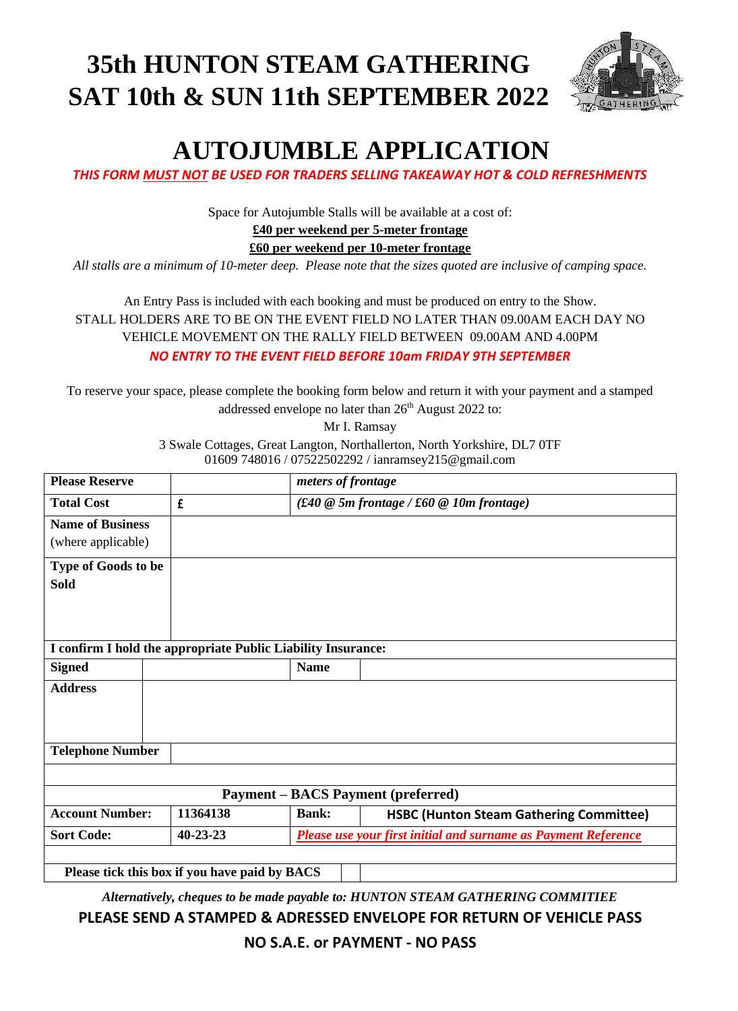# **35th HUNTON STEAM GATHERING SAT 10th & SUN 11th SEPTEMBER 2022**



# **AUTOJUMBLE APPLICATION**

*THIS FORM MUST NOT BE USED FOR TRADERS SELLING TAKEAWAY HOT & COLD REFRESHMENTS*

Space for Autojumble Stalls will be available at a cost of:

### **£40 per weekend per 5-meter frontage**

**£60 per weekend per 10-meter frontage**

*All stalls are a minimum of 10-meter deep. Please note that the sizes quoted are inclusive of camping space.*

An Entry Pass is included with each booking and must be produced on entry to the Show. STALL HOLDERS ARE TO BE ON THE EVENT FIELD NO LATER THAN 09.00AM EACH DAY NO VEHICLE MOVEMENT ON THE RALLY FIELD BETWEEN 09.00AM AND 4.00PM

*NO ENTRY TO THE EVENT FIELD BEFORE 10am FRIDAY 9TH SEPTEMBER*

To reserve your space, please complete the booking form below and return it with your payment and a stamped addressed envelope no later than 26<sup>th</sup> August 2022 to:

Mr I. Ramsay

3 Swale Cottages, Great Langton, Northallerton, North Yorkshire, DL7 0TF 01609 748016 / 07522502292 / ianramsey215@gmail.com

| <b>Please Reserve</b>                                        |                |              | meters of frontage                                             |  |
|--------------------------------------------------------------|----------------|--------------|----------------------------------------------------------------|--|
| <b>Total Cost</b>                                            | £              |              | $(f40@5m$ frontage / £60 @ 10m frontage)                       |  |
| <b>Name of Business</b><br>(where applicable)                |                |              |                                                                |  |
| Type of Goods to be<br><b>Sold</b>                           |                |              |                                                                |  |
| I confirm I hold the appropriate Public Liability Insurance: |                |              |                                                                |  |
| <b>Signed</b>                                                |                | <b>Name</b>  |                                                                |  |
| <b>Address</b>                                               |                |              |                                                                |  |
| <b>Telephone Number</b>                                      |                |              |                                                                |  |
|                                                              |                |              |                                                                |  |
| <b>Payment – BACS Payment (preferred)</b>                    |                |              |                                                                |  |
| <b>Account Number:</b>                                       | 11364138       | <b>Bank:</b> | <b>HSBC (Hunton Steam Gathering Committee)</b>                 |  |
| <b>Sort Code:</b>                                            | $40 - 23 - 23$ |              | Please use your first initial and surname as Payment Reference |  |
| Please tick this box if you have paid by BACS                |                |              |                                                                |  |

*Alternatively, cheques to be made payable to: HUNTON STEAM GATHERING COMMITIEE*

## **PLEASE SEND A STAMPED & ADRESSED ENVELOPE FOR RETURN OF VEHICLE PASS**

**NO S.A.E. or PAYMENT - NO PASS**